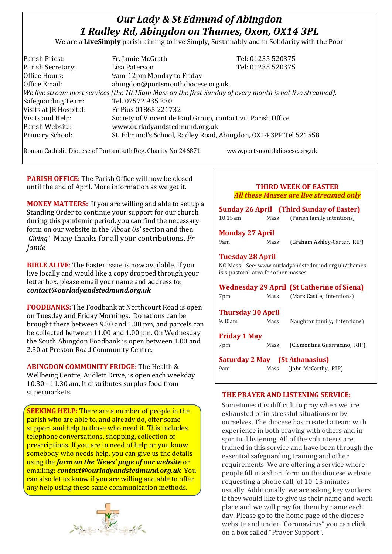# *Our Lady & St Edmund of Abingdon 1 Radley Rd, Abingdon on Thames, Oxon, OX14 3PL*

We are a **LiveSimply** parish aiming to live Simply, Sustainably and in Solidarity with the Poor

| Parish Priest:                                                                                               | Fr. Jamie McGrath                                               | Tel: 01235 520375 |  |
|--------------------------------------------------------------------------------------------------------------|-----------------------------------------------------------------|-------------------|--|
| Parish Secretary:                                                                                            | Lisa Paterson                                                   | Tel: 01235 520375 |  |
| Office Hours:                                                                                                | 9am-12pm Monday to Friday                                       |                   |  |
| Office Email:                                                                                                | abingdon@portsmouthdiocese.org.uk                               |                   |  |
| $ $ We live stream most services (the 10.15am Mass on the first Sunday of every month is not live streamed). |                                                                 |                   |  |
| Safeguarding Team:                                                                                           | Tel. 07572 935 230                                              |                   |  |
| Visits at JR Hospital:                                                                                       | Fr Pius 01865 221732                                            |                   |  |
| Visits and Help:                                                                                             | Society of Vincent de Paul Group, contact via Parish Office     |                   |  |
| Parish Website:                                                                                              | www.ourladyandstedmund.org.uk                                   |                   |  |
| Primary School:                                                                                              | St. Edmund's School, Radley Road, Abingdon, OX14 3PP Tel 521558 |                   |  |
|                                                                                                              |                                                                 |                   |  |

Roman Catholic Diocese of Portsmouth Reg. Charity No 246871 www.portsmouthdiocese.org.uk

**PARISH OFFICE:** The Parish Office will now be closed until the end of April. More information as we get it.

**MONEY MATTERS:** If you are willing and able to set up a Standing Order to continue your support for our church during this pandemic period, you can find the necessary form on our website in the *'About Us'* section and then *'Giving'*. Many thanks for all your contributions. *Fr Jamie*

**BIBLE ALIVE**: The Easter issue is now available. If you live locally and would like a copy dropped through your letter box, please email your name and address to: *contact@ourladyandstedmund.org.uk*

**FOODBANKS:** The Foodbank at Northcourt Road is open on Tuesday and Friday Mornings. Donations can be brought there between 9.30 and 1.00 pm, and parcels can be collected between 11.00 and 1.00 pm. On Wednesday the South Abingdon Foodbank is open between 1.00 and 2.30 at Preston Road Community Centre.

**ABINGDON COMMUNITY FRIDGE:** The Health & Wellbeing Centre, Audlett Drive, is open each weekday 10.30 - 11.30 am. It distributes surplus food from supermarkets.

**SEEKING HELP:** There are a number of people in the parish who are able to, and already do, offer some support and help to those who need it. This includes telephone conversations, shopping, collection of prescriptions. If you are in need of help or you know somebody who needs help, you can give us the details using the *form on the 'News' page of our website* or emailing: *contact@ourladyandstedmund.org.uk* You can also let us know if you are willing and able to offer any help using these same communication methods.



|                                                                |      | <b>THIRD WEEK OF EASTER</b>                        |  |  |
|----------------------------------------------------------------|------|----------------------------------------------------|--|--|
|                                                                |      | <b>All these Masses are live streamed only</b>     |  |  |
| <b>Sunday 26 April</b> (Third Sunday of Easter)                |      |                                                    |  |  |
| 10.15am                                                        |      | Mass (Parish family intentions)                    |  |  |
| <b>Monday 27 April</b>                                         |      |                                                    |  |  |
| 9am                                                            | Mass | (Graham Ashley-Carter, RIP)                        |  |  |
| <b>Tuesday 28 April</b><br>isis-pastoral-area for other masses |      | NO Mass See: www.ourladyandstedmund.org.uk/thames- |  |  |
|                                                                |      | <b>Wednesday 29 April (St Catherine of Siena)</b>  |  |  |
| 7pm                                                            | Mass | (Mark Castle, intentions)                          |  |  |
| <b>Thursday 30 April</b>                                       |      |                                                    |  |  |
| 9.30am                                                         | Mass | Naughton family, intentions)                       |  |  |
| <b>Friday 1 May</b>                                            |      |                                                    |  |  |
| 7pm                                                            | Mass | (Clementina Guarracino, RIP)                       |  |  |
|                                                                |      | <b>Saturday 2 May</b> (St Athanasius)              |  |  |
| 9am                                                            | Mass | (John McCarthy, RIP)                               |  |  |

## **THE PRAYER AND LISTENING SERVICE:**

Sometimes it is difficult to pray when we are exhausted or in stressful situations or by ourselves. The diocese has created a team with experience in both praying with others and in spiritual listening. All of the volunteers are trained in this service and have been through the essential safeguarding training and other requirements. We are offering a service where people fill in a short form on the diocese website requesting a phone call, of 10-15 minutes usually. Additionally, we are asking key workers if they would like to give us their name and work place and we will pray for them by name each day. Please go to the home page of the diocese website and under "Coronavirus" you can click on a box called "Prayer Support".